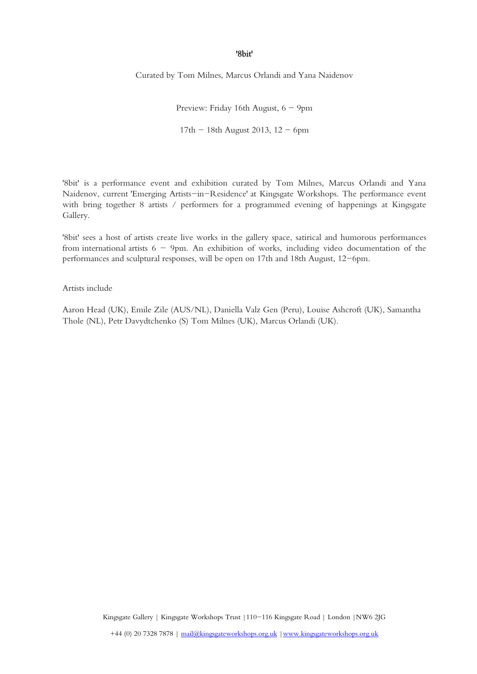## '8bit'

Curated by Tom Milnes, Marcus Orlandi and Yana Naidenov

Preview: Friday 16th August, 6 - 9pm 17th  $-$  18th August 2013, 12  $-$  6pm

'8bit' is a performance event and exhibition curated by Tom Milnes, Marcus Orlandi and Yana Naidenov, current ['Emerging Artists-in-Residence'](http://www.kingsgateworkshops.org.uk/emergingartists2013.html) at Kingsgate Workshops. The performance event with bring together 8 artists / performers for a programmed evening of happenings at Kingsgate Gallery.

'8bit' sees a host of artists create live works in the gallery space, satirical and humorous performances from international artists  $6 - 9$ pm. An exhibition of works, including video documentation of the performances and sculptural responses, will be open on 17th and 18th August, 12-6pm.

## Artists include

Aaron Head (UK), Emile Zile (AUS/NL), Daniella Valz Gen (Peru), Louise Ashcroft (UK), Samantha Thole (NL), Petr Davydtchenko (S) Tom Milnes (UK), Marcus Orlandi (UK).